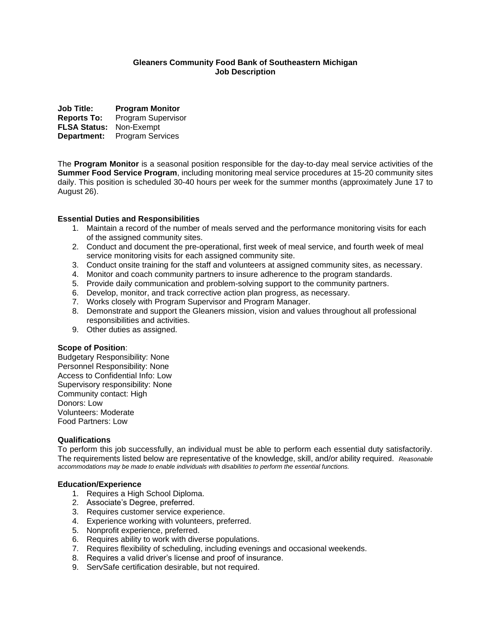# **Gleaners Community Food Bank of Southeastern Michigan Job Description**

**Job Title: Program Monitor Reports To:** Program Supervisor **FLSA Status:** Non-Exempt **Department:** Program Services

The **Program Monitor** is a seasonal position responsible for the day-to-day meal service activities of the **Summer Food Service Program**, including monitoring meal service procedures at 15-20 community sites daily. This position is scheduled 30-40 hours per week for the summer months (approximately June 17 to August 26).

# **Essential Duties and Responsibilities**

- 1. Maintain a record of the number of meals served and the performance monitoring visits for each of the assigned community sites.
- 2. Conduct and document the pre-operational, first week of meal service, and fourth week of meal service monitoring visits for each assigned community site.
- 3. Conduct onsite training for the staff and volunteers at assigned community sites, as necessary.
- 4. Monitor and coach community partners to insure adherence to the program standards.
- 5. Provide daily communication and problem-solving support to the community partners.
- 6. Develop, monitor, and track corrective action plan progress, as necessary.
- 7. Works closely with Program Supervisor and Program Manager.
- 8. Demonstrate and support the Gleaners mission, vision and values throughout all professional responsibilities and activities.
- 9. Other duties as assigned.

# **Scope of Position**:

Budgetary Responsibility: None Personnel Responsibility: None Access to Confidential Info: Low Supervisory responsibility: None Community contact: High Donors: Low Volunteers: Moderate Food Partners: Low

## **Qualifications**

To perform this job successfully, an individual must be able to perform each essential duty satisfactorily. The requirements listed below are representative of the knowledge, skill, and/or ability required. *Reasonable accommodations may be made to enable individuals with disabilities to perform the essential functions.*

## **Education/Experience**

- 1. Requires a High School Diploma.
- 2. Associate's Degree, preferred.
- 3. Requires customer service experience.
- 4. Experience working with volunteers, preferred.
- 5. Nonprofit experience, preferred.
- 6. Requires ability to work with diverse populations.
- 7. Requires flexibility of scheduling, including evenings and occasional weekends.
- 8. Requires a valid driver's license and proof of insurance.
- 9. ServSafe certification desirable, but not required.